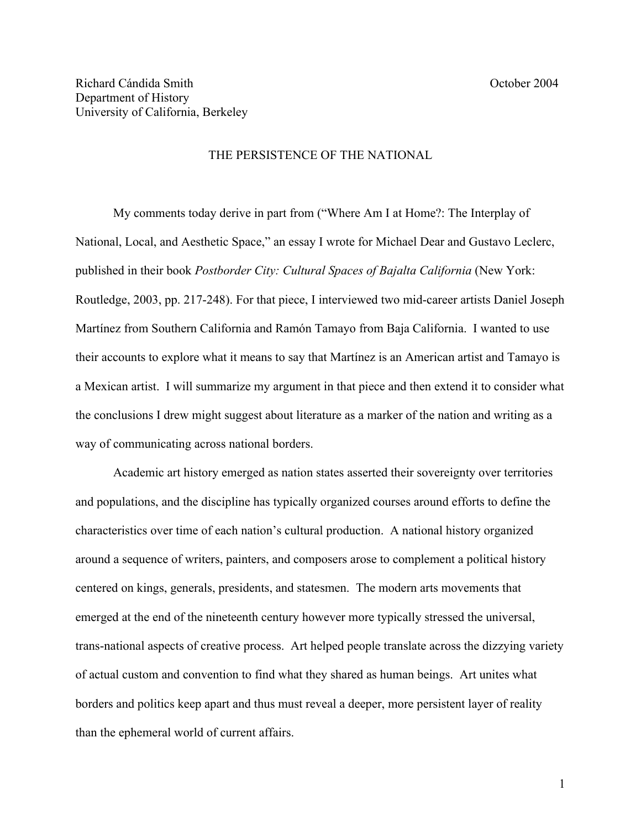## THE PERSISTENCE OF THE NATIONAL

My comments today derive in part from ("Where Am I at Home?: The Interplay of National, Local, and Aesthetic Space," an essay I wrote for Michael Dear and Gustavo Leclerc, published in their book *Postborder City: Cultural Spaces of Bajalta California* (New York: Routledge, 2003, pp. 217-248). For that piece, I interviewed two mid-career artists Daniel Joseph Martínez from Southern California and Ramón Tamayo from Baja California. I wanted to use their accounts to explore what it means to say that Martínez is an American artist and Tamayo is a Mexican artist. I will summarize my argument in that piece and then extend it to consider what the conclusions I drew might suggest about literature as a marker of the nation and writing as a way of communicating across national borders.

Academic art history emerged as nation states asserted their sovereignty over territories and populations, and the discipline has typically organized courses around efforts to define the characteristics over time of each nation's cultural production. A national history organized around a sequence of writers, painters, and composers arose to complement a political history centered on kings, generals, presidents, and statesmen. The modern arts movements that emerged at the end of the nineteenth century however more typically stressed the universal, trans-national aspects of creative process. Art helped people translate across the dizzying variety of actual custom and convention to find what they shared as human beings. Art unites what borders and politics keep apart and thus must reveal a deeper, more persistent layer of reality than the ephemeral world of current affairs.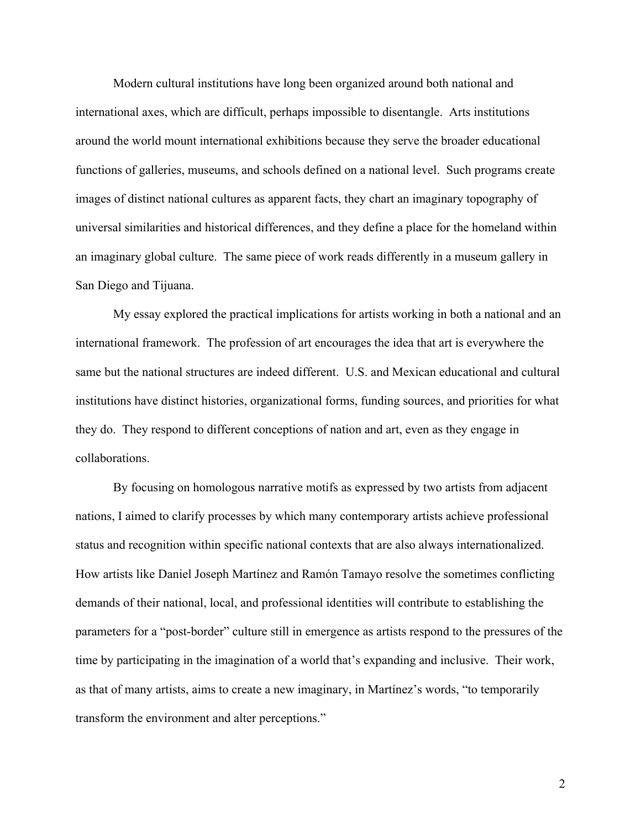Modern cultural institutions have long been organized around both national and international axes, which are difficult, perhaps impossible to disentangle. Arts institutions around the world mount international exhibitions because they serve the broader educational functions of galleries, museums, and schools defined on a national level. Such programs create images of distinct national cultures as apparent facts, they chart an imaginary topography of universal similarities and historical differences, and they define a place for the homeland within an imaginary global culture. The same piece of work reads differently in a museum gallery in San Diego and Tijuana.

My essay explored the practical implications for artists working in both a national and an international framework. The profession of art encourages the idea that art is everywhere the same but the national structures are indeed different. U.S. and Mexican educational and cultural institutions have distinct histories, organizational forms, funding sources, and priorities for what they do. They respond to different conceptions of nation and art, even as they engage in collaborations.

By focusing on homologous narrative motifs as expressed by two artists from adjacent nations, I aimed to clarify processes by which many contemporary artists achieve professional status and recognition within specific national contexts that are also always internationalized. How artists like Daniel Joseph Martínez and Ramón Tamayo resolve the sometimes conflicting demands of their national, local, and professional identities will contribute to establishing the parameters for a "post-border" culture still in emergence as artists respond to the pressures of the time by participating in the imagination of a world that's expanding and inclusive. Their work, as that of many artists, aims to create a new imaginary, in Martínez's words, "to temporarily transform the environment and alter perceptions."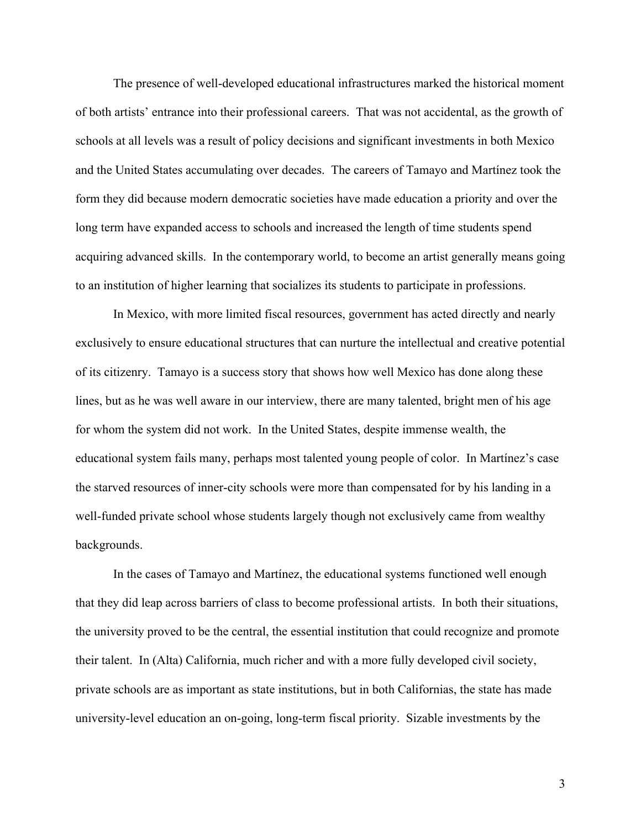The presence of well-developed educational infrastructures marked the historical moment of both artists' entrance into their professional careers. That was not accidental, as the growth of schools at all levels was a result of policy decisions and significant investments in both Mexico and the United States accumulating over decades. The careers of Tamayo and Martínez took the form they did because modern democratic societies have made education a priority and over the long term have expanded access to schools and increased the length of time students spend acquiring advanced skills. In the contemporary world, to become an artist generally means going to an institution of higher learning that socializes its students to participate in professions.

In Mexico, with more limited fiscal resources, government has acted directly and nearly exclusively to ensure educational structures that can nurture the intellectual and creative potential of its citizenry. Tamayo is a success story that shows how well Mexico has done along these lines, but as he was well aware in our interview, there are many talented, bright men of his age for whom the system did not work. In the United States, despite immense wealth, the educational system fails many, perhaps most talented young people of color. In Martínez's case the starved resources of inner-city schools were more than compensated for by his landing in a well-funded private school whose students largely though not exclusively came from wealthy backgrounds.

In the cases of Tamayo and Martínez, the educational systems functioned well enough that they did leap across barriers of class to become professional artists. In both their situations, the university proved to be the central, the essential institution that could recognize and promote their talent. In (Alta) California, much richer and with a more fully developed civil society, private schools are as important as state institutions, but in both Californias, the state has made university-level education an on-going, long-term fiscal priority. Sizable investments by the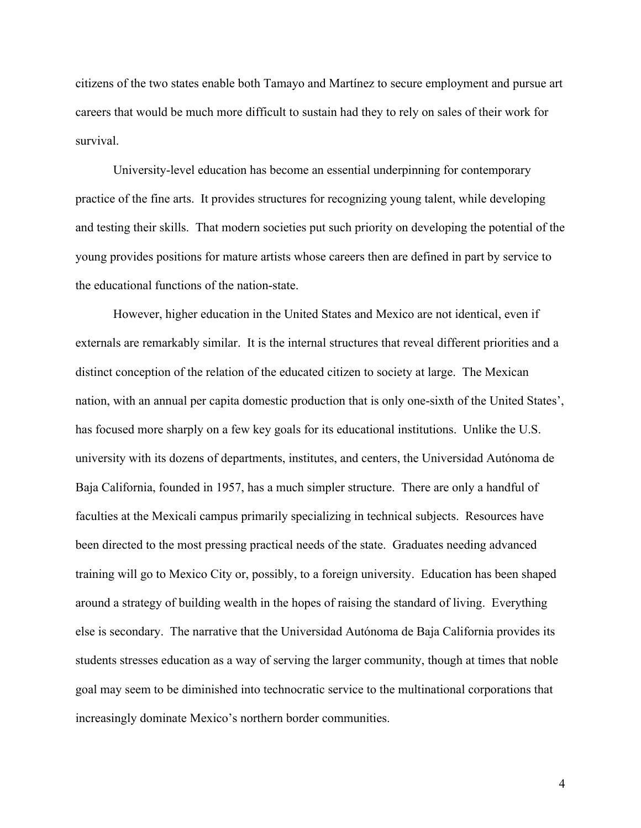citizens of the two states enable both Tamayo and Martínez to secure employment and pursue art careers that would be much more difficult to sustain had they to rely on sales of their work for survival.

University-level education has become an essential underpinning for contemporary practice of the fine arts. It provides structures for recognizing young talent, while developing and testing their skills. That modern societies put such priority on developing the potential of the young provides positions for mature artists whose careers then are defined in part by service to the educational functions of the nation-state.

However, higher education in the United States and Mexico are not identical, even if externals are remarkably similar. It is the internal structures that reveal different priorities and a distinct conception of the relation of the educated citizen to society at large. The Mexican nation, with an annual per capita domestic production that is only one-sixth of the United States', has focused more sharply on a few key goals for its educational institutions. Unlike the U.S. university with its dozens of departments, institutes, and centers, the Universidad Autónoma de Baja California, founded in 1957, has a much simpler structure. There are only a handful of faculties at the Mexicali campus primarily specializing in technical subjects. Resources have been directed to the most pressing practical needs of the state. Graduates needing advanced training will go to Mexico City or, possibly, to a foreign university. Education has been shaped around a strategy of building wealth in the hopes of raising the standard of living. Everything else is secondary. The narrative that the Universidad Autónoma de Baja California provides its students stresses education as a way of serving the larger community, though at times that noble goal may seem to be diminished into technocratic service to the multinational corporations that increasingly dominate Mexico's northern border communities.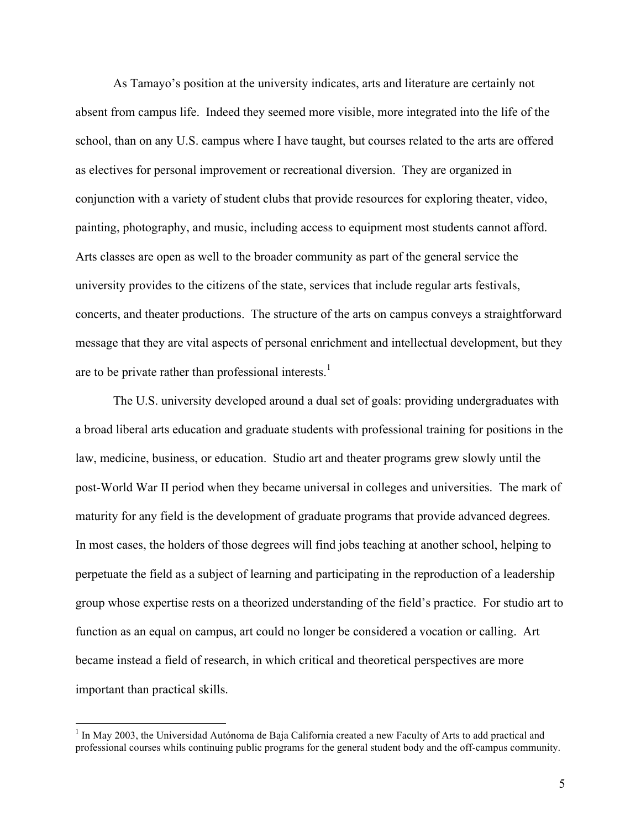As Tamayo's position at the university indicates, arts and literature are certainly not absent from campus life. Indeed they seemed more visible, more integrated into the life of the school, than on any U.S. campus where I have taught, but courses related to the arts are offered as electives for personal improvement or recreational diversion. They are organized in conjunction with a variety of student clubs that provide resources for exploring theater, video, painting, photography, and music, including access to equipment most students cannot afford. Arts classes are open as well to the broader community as part of the general service the university provides to the citizens of the state, services that include regular arts festivals, concerts, and theater productions. The structure of the arts on campus conveys a straightforward message that they are vital aspects of personal enrichment and intellectual development, but they are to be private rather than professional interests.<sup>1</sup>

The U.S. university developed around a dual set of goals: providing undergraduates with a broad liberal arts education and graduate students with professional training for positions in the law, medicine, business, or education. Studio art and theater programs grew slowly until the post-World War II period when they became universal in colleges and universities. The mark of maturity for any field is the development of graduate programs that provide advanced degrees. In most cases, the holders of those degrees will find jobs teaching at another school, helping to perpetuate the field as a subject of learning and participating in the reproduction of a leadership group whose expertise rests on a theorized understanding of the field's practice. For studio art to function as an equal on campus, art could no longer be considered a vocation or calling. Art became instead a field of research, in which critical and theoretical perspectives are more important than practical skills.

<sup>&</sup>lt;sup>1</sup> In May 2003, the Universidad Autónoma de Baja California created a new Faculty of Arts to add practical and professional courses whils continuing public programs for the general student body and the off-campus community.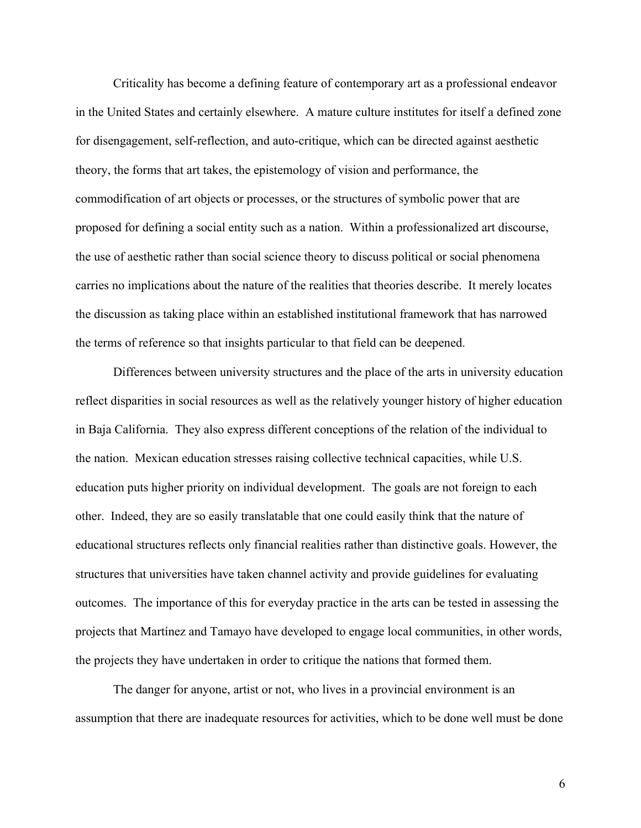Criticality has become a defining feature of contemporary art as a professional endeavor in the United States and certainly elsewhere. A mature culture institutes for itself a defined zone for disengagement, self-reflection, and auto-critique, which can be directed against aesthetic theory, the forms that art takes, the epistemology of vision and performance, the commodification of art objects or processes, or the structures of symbolic power that are proposed for defining a social entity such as a nation. Within a professionalized art discourse, the use of aesthetic rather than social science theory to discuss political or social phenomena carries no implications about the nature of the realities that theories describe. It merely locates the discussion as taking place within an established institutional framework that has narrowed the terms of reference so that insights particular to that field can be deepened.

Differences between university structures and the place of the arts in university education reflect disparities in social resources as well as the relatively younger history of higher education in Baja California. They also express different conceptions of the relation of the individual to the nation. Mexican education stresses raising collective technical capacities, while U.S. education puts higher priority on individual development. The goals are not foreign to each other. Indeed, they are so easily translatable that one could easily think that the nature of educational structures reflects only financial realities rather than distinctive goals. However, the structures that universities have taken channel activity and provide guidelines for evaluating outcomes. The importance of this for everyday practice in the arts can be tested in assessing the projects that Martínez and Tamayo have developed to engage local communities, in other words, the projects they have undertaken in order to critique the nations that formed them.

The danger for anyone, artist or not, who lives in a provincial environment is an assumption that there are inadequate resources for activities, which to be done well must be done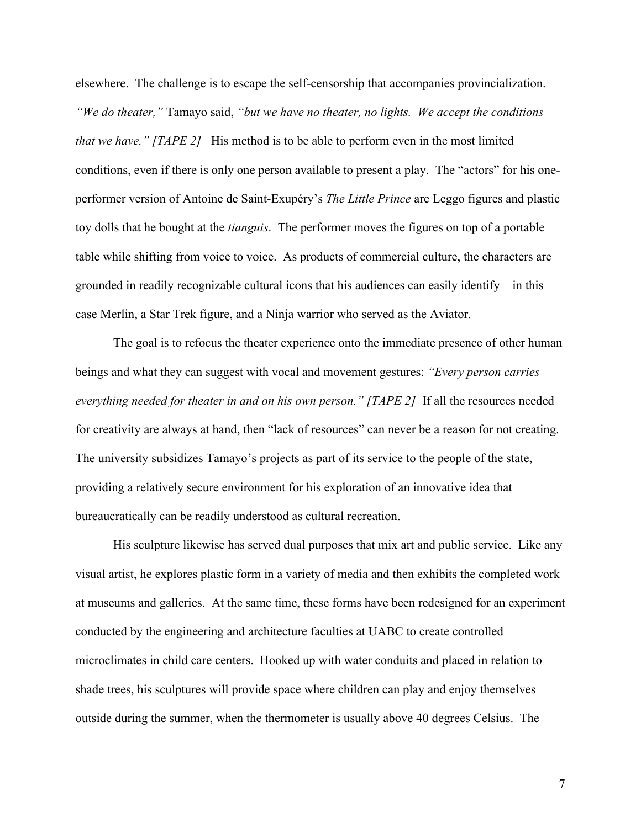elsewhere. The challenge is to escape the self-censorship that accompanies provincialization. *"We do theater,"* Tamayo said, *"but we have no theater, no lights. We accept the conditions that we have." [TAPE 2]* His method is to be able to perform even in the most limited conditions, even if there is only one person available to present a play. The "actors" for his oneperformer version of Antoine de Saint-Exupéry's *The Little Prince* are Leggo figures and plastic toy dolls that he bought at the *tianguis*. The performer moves the figures on top of a portable table while shifting from voice to voice. As products of commercial culture, the characters are grounded in readily recognizable cultural icons that his audiences can easily identify—in this case Merlin, a Star Trek figure, and a Ninja warrior who served as the Aviator.

The goal is to refocus the theater experience onto the immediate presence of other human beings and what they can suggest with vocal and movement gestures: *"Every person carries everything needed for theater in and on his own person." [TAPE 2]* If all the resources needed for creativity are always at hand, then "lack of resources" can never be a reason for not creating. The university subsidizes Tamayo's projects as part of its service to the people of the state, providing a relatively secure environment for his exploration of an innovative idea that bureaucratically can be readily understood as cultural recreation.

His sculpture likewise has served dual purposes that mix art and public service. Like any visual artist, he explores plastic form in a variety of media and then exhibits the completed work at museums and galleries. At the same time, these forms have been redesigned for an experiment conducted by the engineering and architecture faculties at UABC to create controlled microclimates in child care centers. Hooked up with water conduits and placed in relation to shade trees, his sculptures will provide space where children can play and enjoy themselves outside during the summer, when the thermometer is usually above 40 degrees Celsius. The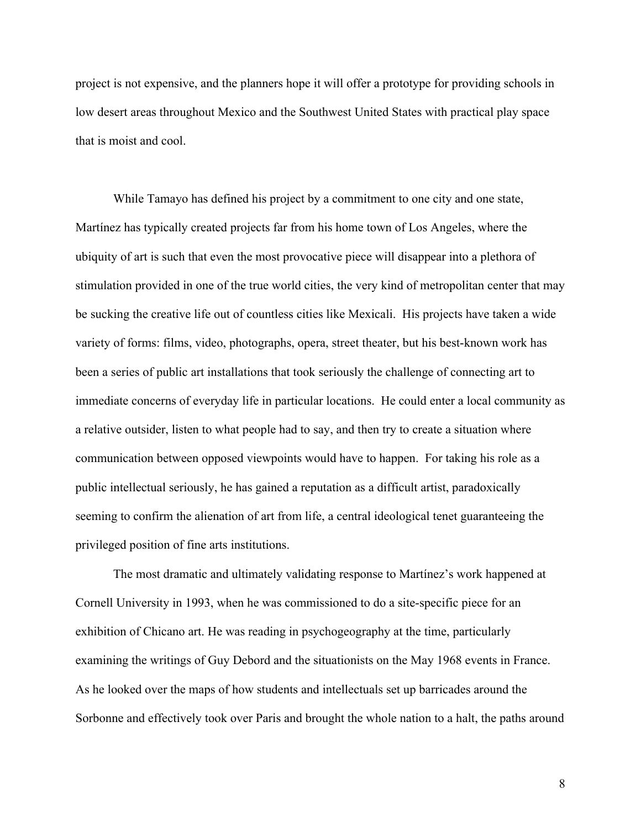project is not expensive, and the planners hope it will offer a prototype for providing schools in low desert areas throughout Mexico and the Southwest United States with practical play space that is moist and cool.

While Tamayo has defined his project by a commitment to one city and one state, Martínez has typically created projects far from his home town of Los Angeles, where the ubiquity of art is such that even the most provocative piece will disappear into a plethora of stimulation provided in one of the true world cities, the very kind of metropolitan center that may be sucking the creative life out of countless cities like Mexicali. His projects have taken a wide variety of forms: films, video, photographs, opera, street theater, but his best-known work has been a series of public art installations that took seriously the challenge of connecting art to immediate concerns of everyday life in particular locations. He could enter a local community as a relative outsider, listen to what people had to say, and then try to create a situation where communication between opposed viewpoints would have to happen. For taking his role as a public intellectual seriously, he has gained a reputation as a difficult artist, paradoxically seeming to confirm the alienation of art from life, a central ideological tenet guaranteeing the privileged position of fine arts institutions.

The most dramatic and ultimately validating response to Martínez's work happened at Cornell University in 1993, when he was commissioned to do a site-specific piece for an exhibition of Chicano art. He was reading in psychogeography at the time, particularly examining the writings of Guy Debord and the situationists on the May 1968 events in France. As he looked over the maps of how students and intellectuals set up barricades around the Sorbonne and effectively took over Paris and brought the whole nation to a halt, the paths around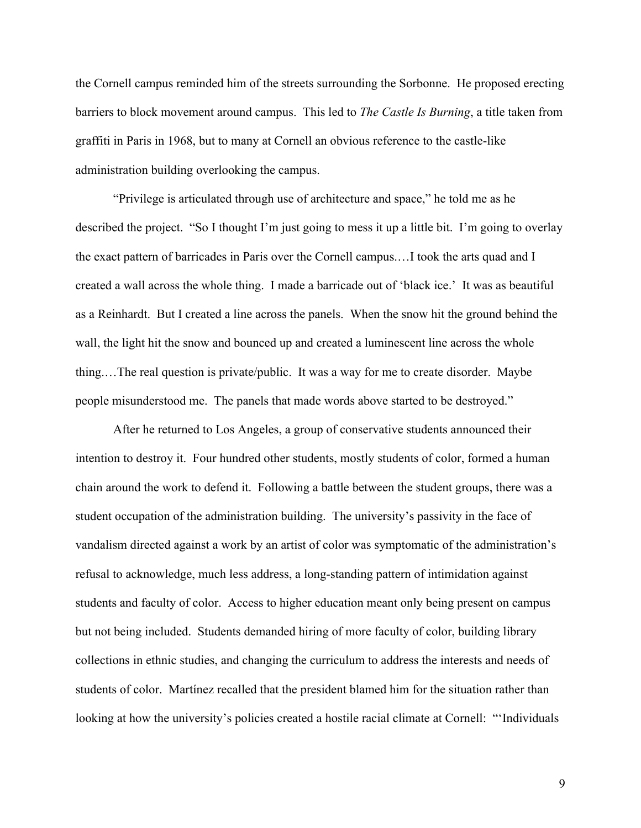the Cornell campus reminded him of the streets surrounding the Sorbonne. He proposed erecting barriers to block movement around campus. This led to *The Castle Is Burning*, a title taken from graffiti in Paris in 1968, but to many at Cornell an obvious reference to the castle-like administration building overlooking the campus.

"Privilege is articulated through use of architecture and space," he told me as he described the project. "So I thought I'm just going to mess it up a little bit. I'm going to overlay the exact pattern of barricades in Paris over the Cornell campus.…I took the arts quad and I created a wall across the whole thing. I made a barricade out of 'black ice.' It was as beautiful as a Reinhardt. But I created a line across the panels. When the snow hit the ground behind the wall, the light hit the snow and bounced up and created a luminescent line across the whole thing.…The real question is private/public. It was a way for me to create disorder. Maybe people misunderstood me. The panels that made words above started to be destroyed."

After he returned to Los Angeles, a group of conservative students announced their intention to destroy it. Four hundred other students, mostly students of color, formed a human chain around the work to defend it. Following a battle between the student groups, there was a student occupation of the administration building. The university's passivity in the face of vandalism directed against a work by an artist of color was symptomatic of the administration's refusal to acknowledge, much less address, a long-standing pattern of intimidation against students and faculty of color. Access to higher education meant only being present on campus but not being included. Students demanded hiring of more faculty of color, building library collections in ethnic studies, and changing the curriculum to address the interests and needs of students of color. Martínez recalled that the president blamed him for the situation rather than looking at how the university's policies created a hostile racial climate at Cornell: "'Individuals'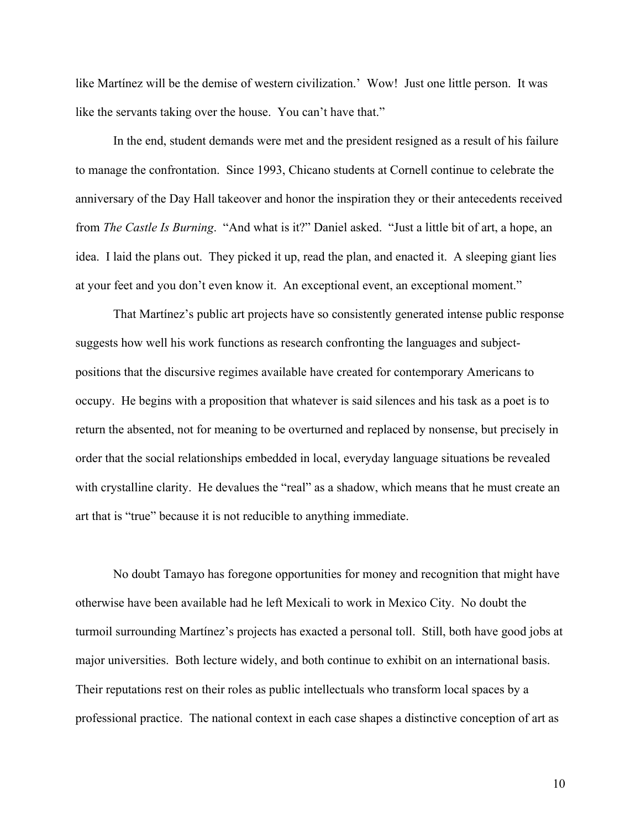like Martínez will be the demise of western civilization.' Wow! Just one little person. It was like the servants taking over the house. You can't have that."

In the end, student demands were met and the president resigned as a result of his failure to manage the confrontation. Since 1993, Chicano students at Cornell continue to celebrate the anniversary of the Day Hall takeover and honor the inspiration they or their antecedents received from *The Castle Is Burning*. "And what is it?" Daniel asked. "Just a little bit of art, a hope, an idea. I laid the plans out. They picked it up, read the plan, and enacted it. A sleeping giant lies at your feet and you don't even know it. An exceptional event, an exceptional moment."

That Martínez's public art projects have so consistently generated intense public response suggests how well his work functions as research confronting the languages and subjectpositions that the discursive regimes available have created for contemporary Americans to occupy. He begins with a proposition that whatever is said silences and his task as a poet is to return the absented, not for meaning to be overturned and replaced by nonsense, but precisely in order that the social relationships embedded in local, everyday language situations be revealed with crystalline clarity. He devalues the "real" as a shadow, which means that he must create an art that is "true" because it is not reducible to anything immediate.

No doubt Tamayo has foregone opportunities for money and recognition that might have otherwise have been available had he left Mexicali to work in Mexico City. No doubt the turmoil surrounding Martínez's projects has exacted a personal toll. Still, both have good jobs at major universities. Both lecture widely, and both continue to exhibit on an international basis. Their reputations rest on their roles as public intellectuals who transform local spaces by a professional practice. The national context in each case shapes a distinctive conception of art as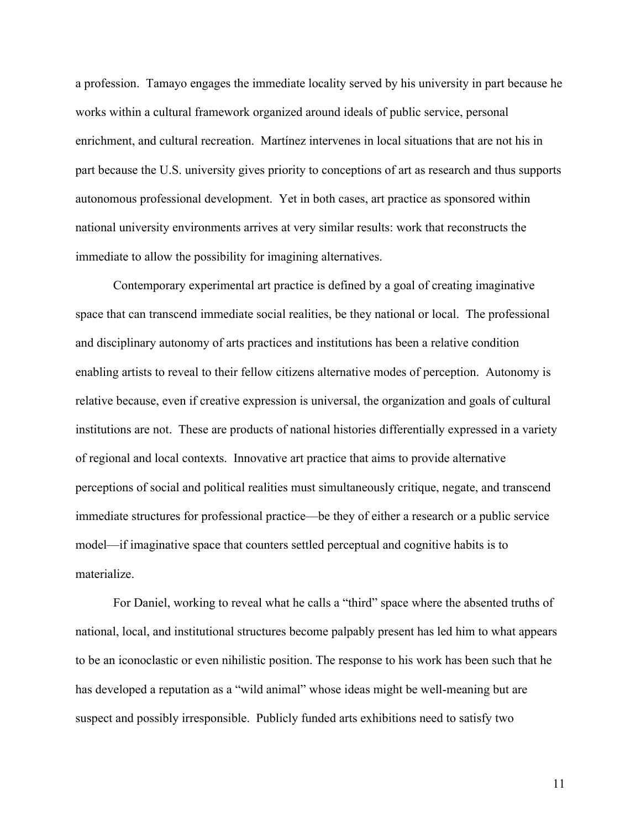a profession. Tamayo engages the immediate locality served by his university in part because he works within a cultural framework organized around ideals of public service, personal enrichment, and cultural recreation. Martínez intervenes in local situations that are not his in part because the U.S. university gives priority to conceptions of art as research and thus supports autonomous professional development. Yet in both cases, art practice as sponsored within national university environments arrives at very similar results: work that reconstructs the immediate to allow the possibility for imagining alternatives.

Contemporary experimental art practice is defined by a goal of creating imaginative space that can transcend immediate social realities, be they national or local. The professional and disciplinary autonomy of arts practices and institutions has been a relative condition enabling artists to reveal to their fellow citizens alternative modes of perception. Autonomy is relative because, even if creative expression is universal, the organization and goals of cultural institutions are not. These are products of national histories differentially expressed in a variety of regional and local contexts. Innovative art practice that aims to provide alternative perceptions of social and political realities must simultaneously critique, negate, and transcend immediate structures for professional practice—be they of either a research or a public service model—if imaginative space that counters settled perceptual and cognitive habits is to materialize.

For Daniel, working to reveal what he calls a "third" space where the absented truths of national, local, and institutional structures become palpably present has led him to what appears to be an iconoclastic or even nihilistic position. The response to his work has been such that he has developed a reputation as a "wild animal" whose ideas might be well-meaning but are suspect and possibly irresponsible. Publicly funded arts exhibitions need to satisfy two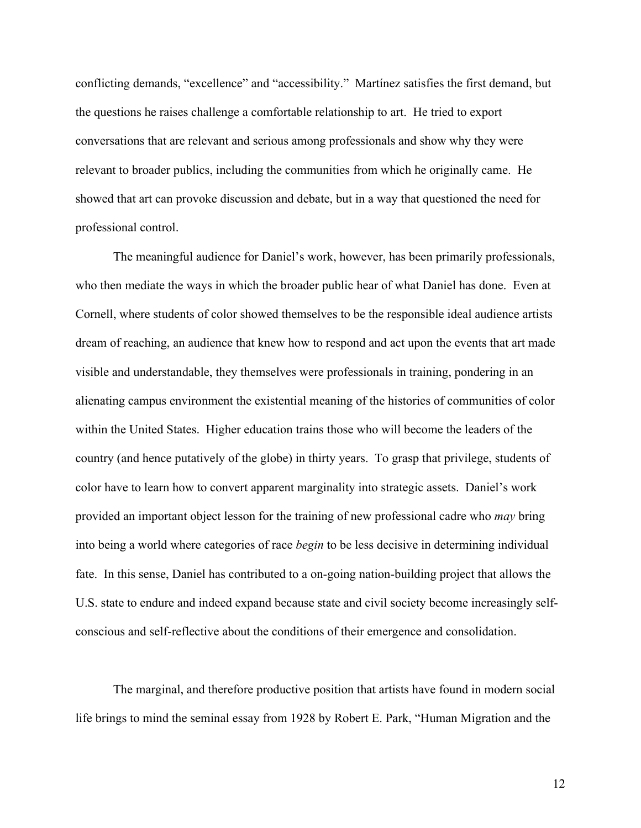conflicting demands, "excellence" and "accessibility." Martínez satisfies the first demand, but the questions he raises challenge a comfortable relationship to art. He tried to export conversations that are relevant and serious among professionals and show why they were relevant to broader publics, including the communities from which he originally came. He showed that art can provoke discussion and debate, but in a way that questioned the need for professional control.

The meaningful audience for Daniel's work, however, has been primarily professionals, who then mediate the ways in which the broader public hear of what Daniel has done. Even at Cornell, where students of color showed themselves to be the responsible ideal audience artists dream of reaching, an audience that knew how to respond and act upon the events that art made visible and understandable, they themselves were professionals in training, pondering in an alienating campus environment the existential meaning of the histories of communities of color within the United States. Higher education trains those who will become the leaders of the country (and hence putatively of the globe) in thirty years. To grasp that privilege, students of color have to learn how to convert apparent marginality into strategic assets. Daniel's work provided an important object lesson for the training of new professional cadre who *may* bring into being a world where categories of race *begin* to be less decisive in determining individual fate. In this sense, Daniel has contributed to a on-going nation-building project that allows the U.S. state to endure and indeed expand because state and civil society become increasingly selfconscious and self-reflective about the conditions of their emergence and consolidation.

The marginal, and therefore productive position that artists have found in modern social life brings to mind the seminal essay from 1928 by Robert E. Park, "Human Migration and the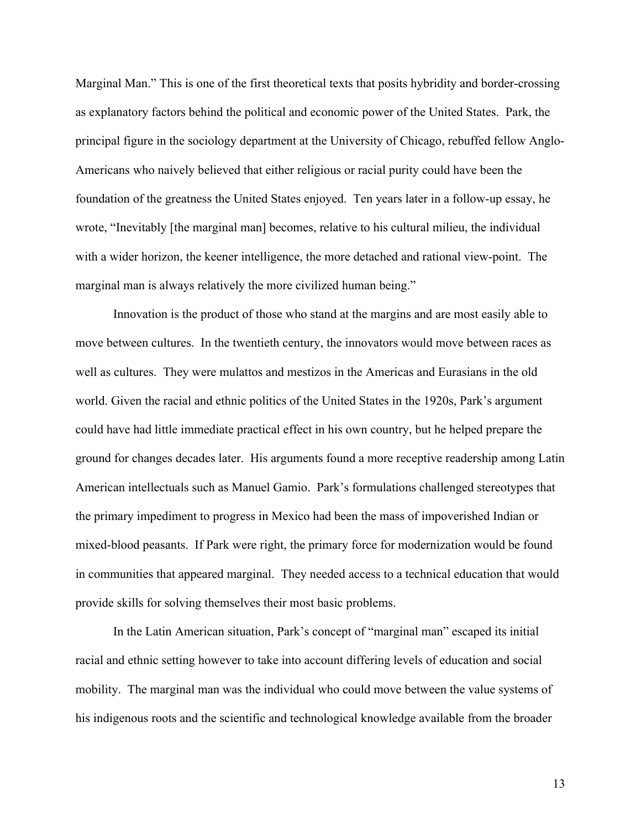Marginal Man." This is one of the first theoretical texts that posits hybridity and border-crossing as explanatory factors behind the political and economic power of the United States. Park, the principal figure in the sociology department at the University of Chicago, rebuffed fellow Anglo-Americans who naively believed that either religious or racial purity could have been the foundation of the greatness the United States enjoyed. Ten years later in a follow-up essay, he wrote, "Inevitably [the marginal man] becomes, relative to his cultural milieu, the individual with a wider horizon, the keener intelligence, the more detached and rational view-point. The marginal man is always relatively the more civilized human being."

Innovation is the product of those who stand at the margins and are most easily able to move between cultures. In the twentieth century, the innovators would move between races as well as cultures. They were mulattos and mestizos in the Americas and Eurasians in the old world. Given the racial and ethnic politics of the United States in the 1920s, Park's argument could have had little immediate practical effect in his own country, but he helped prepare the ground for changes decades later. His arguments found a more receptive readership among Latin American intellectuals such as Manuel Gamio. Park's formulations challenged stereotypes that the primary impediment to progress in Mexico had been the mass of impoverished Indian or mixed-blood peasants. If Park were right, the primary force for modernization would be found in communities that appeared marginal. They needed access to a technical education that would provide skills for solving themselves their most basic problems.

In the Latin American situation, Park's concept of "marginal man" escaped its initial racial and ethnic setting however to take into account differing levels of education and social mobility. The marginal man was the individual who could move between the value systems of his indigenous roots and the scientific and technological knowledge available from the broader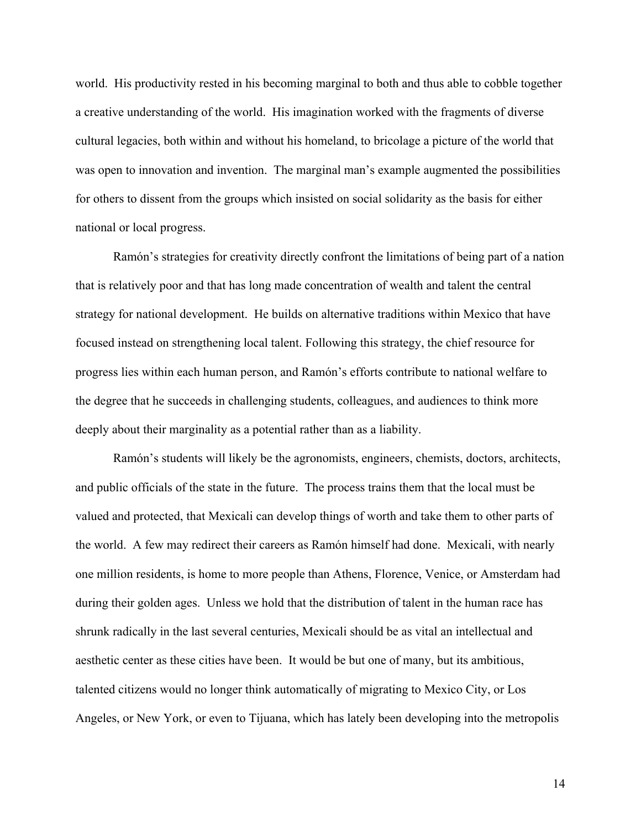world. His productivity rested in his becoming marginal to both and thus able to cobble together a creative understanding of the world. His imagination worked with the fragments of diverse cultural legacies, both within and without his homeland, to bricolage a picture of the world that was open to innovation and invention. The marginal man's example augmented the possibilities for others to dissent from the groups which insisted on social solidarity as the basis for either national or local progress.

Ramón's strategies for creativity directly confront the limitations of being part of a nation that is relatively poor and that has long made concentration of wealth and talent the central strategy for national development. He builds on alternative traditions within Mexico that have focused instead on strengthening local talent. Following this strategy, the chief resource for progress lies within each human person, and Ramón's efforts contribute to national welfare to the degree that he succeeds in challenging students, colleagues, and audiences to think more deeply about their marginality as a potential rather than as a liability.

Ramón's students will likely be the agronomists, engineers, chemists, doctors, architects, and public officials of the state in the future. The process trains them that the local must be valued and protected, that Mexicali can develop things of worth and take them to other parts of the world. A few may redirect their careers as Ramón himself had done. Mexicali, with nearly one million residents, is home to more people than Athens, Florence, Venice, or Amsterdam had during their golden ages. Unless we hold that the distribution of talent in the human race has shrunk radically in the last several centuries, Mexicali should be as vital an intellectual and aesthetic center as these cities have been. It would be but one of many, but its ambitious, talented citizens would no longer think automatically of migrating to Mexico City, or Los Angeles, or New York, or even to Tijuana, which has lately been developing into the metropolis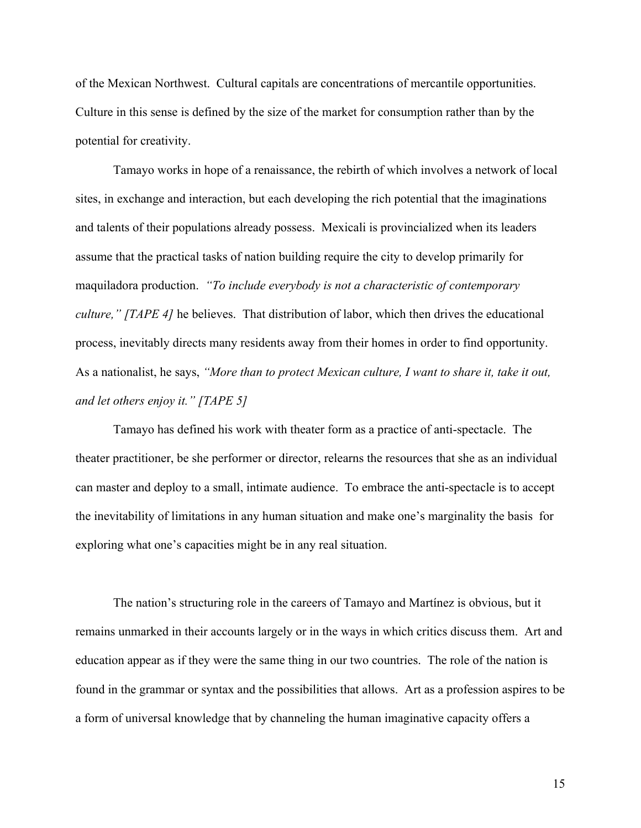of the Mexican Northwest. Cultural capitals are concentrations of mercantile opportunities. Culture in this sense is defined by the size of the market for consumption rather than by the potential for creativity.

Tamayo works in hope of a renaissance, the rebirth of which involves a network of local sites, in exchange and interaction, but each developing the rich potential that the imaginations and talents of their populations already possess. Mexicali is provincialized when its leaders assume that the practical tasks of nation building require the city to develop primarily for maquiladora production. *"To include everybody is not a characteristic of contemporary culture," [TAPE 4]* he believes. That distribution of labor, which then drives the educational process, inevitably directs many residents away from their homes in order to find opportunity. As a nationalist, he says, *"More than to protect Mexican culture, I want to share it, take it out, and let others enjoy it." [TAPE 5]*

Tamayo has defined his work with theater form as a practice of anti-spectacle. The theater practitioner, be she performer or director, relearns the resources that she as an individual can master and deploy to a small, intimate audience. To embrace the anti-spectacle is to accept the inevitability of limitations in any human situation and make one's marginality the basis for exploring what one's capacities might be in any real situation.

The nation's structuring role in the careers of Tamayo and Martínez is obvious, but it remains unmarked in their accounts largely or in the ways in which critics discuss them. Art and education appear as if they were the same thing in our two countries. The role of the nation is found in the grammar or syntax and the possibilities that allows. Art as a profession aspires to be a form of universal knowledge that by channeling the human imaginative capacity offers a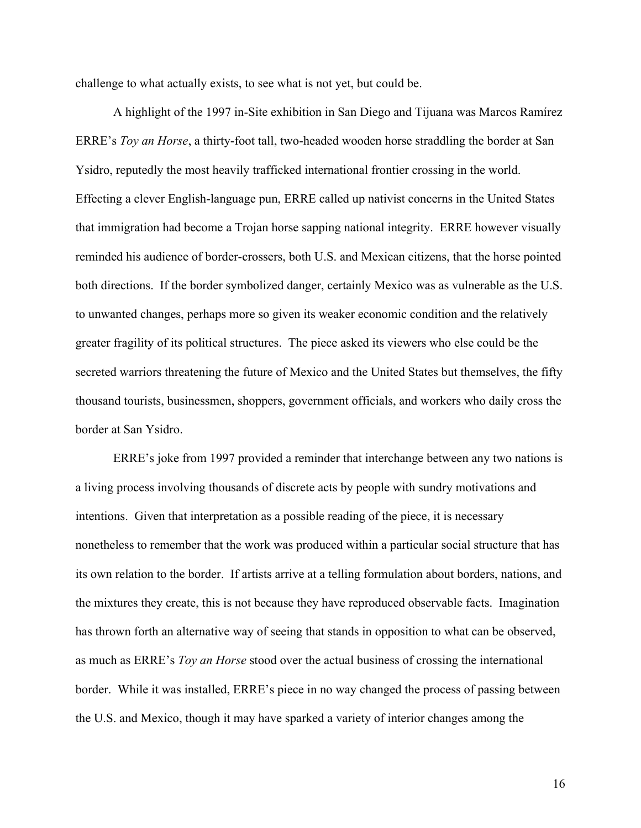challenge to what actually exists, to see what is not yet, but could be.

A highlight of the 1997 in-Site exhibition in San Diego and Tijuana was Marcos Ramírez ERRE's *Toy an Horse*, a thirty-foot tall, two-headed wooden horse straddling the border at San Ysidro, reputedly the most heavily trafficked international frontier crossing in the world. Effecting a clever English-language pun, ERRE called up nativist concerns in the United States that immigration had become a Trojan horse sapping national integrity. ERRE however visually reminded his audience of border-crossers, both U.S. and Mexican citizens, that the horse pointed both directions. If the border symbolized danger, certainly Mexico was as vulnerable as the U.S. to unwanted changes, perhaps more so given its weaker economic condition and the relatively greater fragility of its political structures. The piece asked its viewers who else could be the secreted warriors threatening the future of Mexico and the United States but themselves, the fifty thousand tourists, businessmen, shoppers, government officials, and workers who daily cross the border at San Ysidro.

ERRE's joke from 1997 provided a reminder that interchange between any two nations is a living process involving thousands of discrete acts by people with sundry motivations and intentions. Given that interpretation as a possible reading of the piece, it is necessary nonetheless to remember that the work was produced within a particular social structure that has its own relation to the border. If artists arrive at a telling formulation about borders, nations, and the mixtures they create, this is not because they have reproduced observable facts. Imagination has thrown forth an alternative way of seeing that stands in opposition to what can be observed, as much as ERRE's *Toy an Horse* stood over the actual business of crossing the international border. While it was installed, ERRE's piece in no way changed the process of passing between the U.S. and Mexico, though it may have sparked a variety of interior changes among the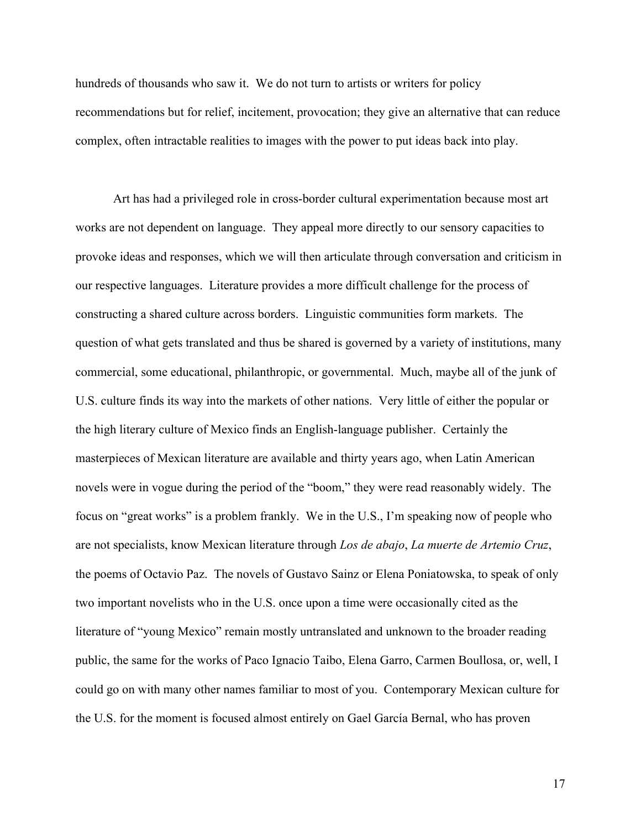hundreds of thousands who saw it. We do not turn to artists or writers for policy recommendations but for relief, incitement, provocation; they give an alternative that can reduce complex, often intractable realities to images with the power to put ideas back into play.

Art has had a privileged role in cross-border cultural experimentation because most art works are not dependent on language. They appeal more directly to our sensory capacities to provoke ideas and responses, which we will then articulate through conversation and criticism in our respective languages. Literature provides a more difficult challenge for the process of constructing a shared culture across borders. Linguistic communities form markets. The question of what gets translated and thus be shared is governed by a variety of institutions, many commercial, some educational, philanthropic, or governmental. Much, maybe all of the junk of U.S. culture finds its way into the markets of other nations. Very little of either the popular or the high literary culture of Mexico finds an English-language publisher. Certainly the masterpieces of Mexican literature are available and thirty years ago, when Latin American novels were in vogue during the period of the "boom," they were read reasonably widely. The focus on "great works" is a problem frankly. We in the U.S., I'm speaking now of people who are not specialists, know Mexican literature through *Los de abajo*, *La muerte de Artemio Cruz*, the poems of Octavio Paz. The novels of Gustavo Sainz or Elena Poniatowska, to speak of only two important novelists who in the U.S. once upon a time were occasionally cited as the literature of "young Mexico" remain mostly untranslated and unknown to the broader reading public, the same for the works of Paco Ignacio Taibo, Elena Garro, Carmen Boullosa, or, well, I could go on with many other names familiar to most of you. Contemporary Mexican culture for the U.S. for the moment is focused almost entirely on Gael García Bernal, who has proven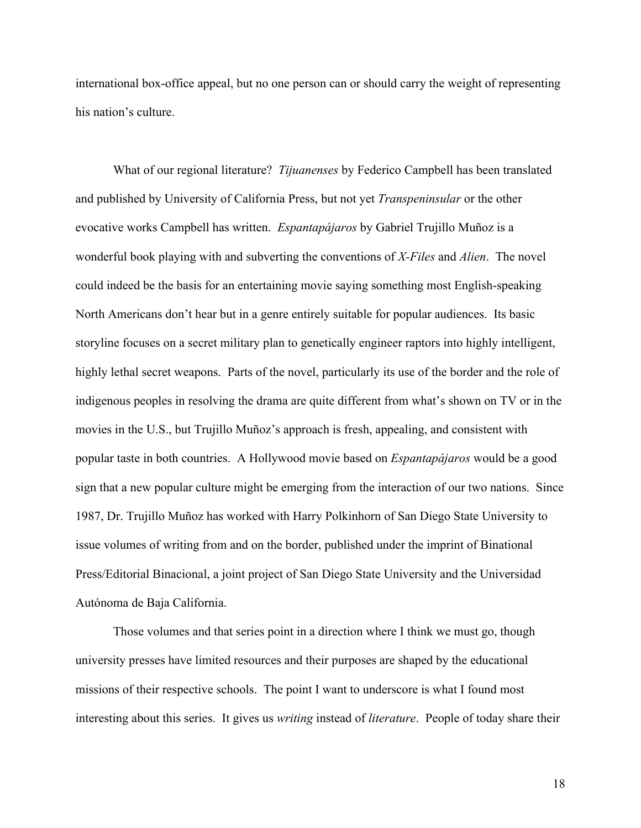international box-office appeal, but no one person can or should carry the weight of representing his nation's culture.

What of our regional literature? *Tijuanenses* by Federico Campbell has been translated and published by University of California Press, but not yet *Transpeninsular* or the other evocative works Campbell has written. *Espantapájaros* by Gabriel Trujillo Muñoz is a wonderful book playing with and subverting the conventions of *X-Files* and *Alien*. The novel could indeed be the basis for an entertaining movie saying something most English-speaking North Americans don't hear but in a genre entirely suitable for popular audiences. Its basic storyline focuses on a secret military plan to genetically engineer raptors into highly intelligent, highly lethal secret weapons. Parts of the novel, particularly its use of the border and the role of indigenous peoples in resolving the drama are quite different from what's shown on TV or in the movies in the U.S., but Trujillo Muñoz's approach is fresh, appealing, and consistent with popular taste in both countries. A Hollywood movie based on *Espantapájaros* would be a good sign that a new popular culture might be emerging from the interaction of our two nations. Since 1987, Dr. Trujillo Muñoz has worked with Harry Polkinhorn of San Diego State University to issue volumes of writing from and on the border, published under the imprint of Binational Press/Editorial Binacional, a joint project of San Diego State University and the Universidad Autónoma de Baja California.

Those volumes and that series point in a direction where I think we must go, though university presses have limited resources and their purposes are shaped by the educational missions of their respective schools. The point I want to underscore is what I found most interesting about this series. It gives us *writing* instead of *literature*. People of today share their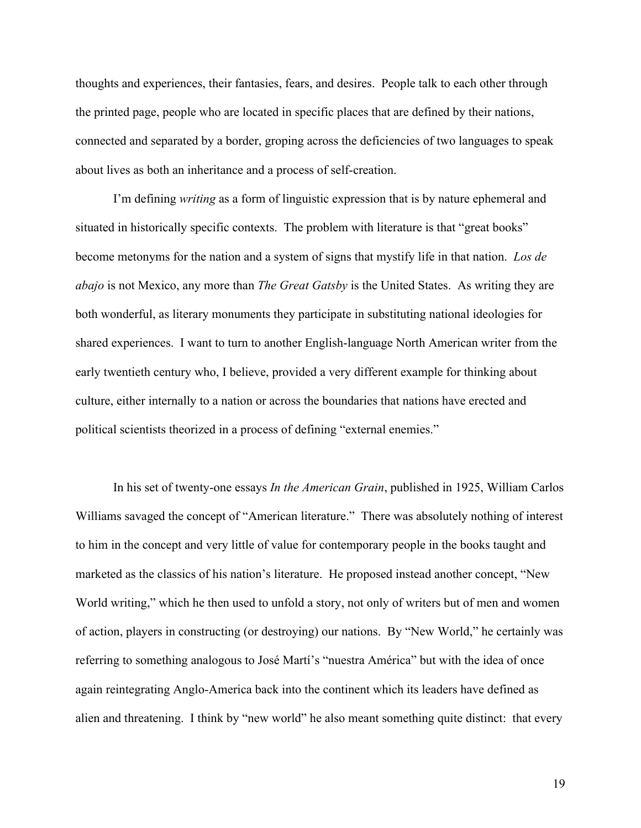thoughts and experiences, their fantasies, fears, and desires. People talk to each other through the printed page, people who are located in specific places that are defined by their nations, connected and separated by a border, groping across the deficiencies of two languages to speak about lives as both an inheritance and a process of self-creation.

I'm defining *writing* as a form of linguistic expression that is by nature ephemeral and situated in historically specific contexts. The problem with literature is that "great books" become metonyms for the nation and a system of signs that mystify life in that nation. *Los de abajo* is not Mexico, any more than *The Great Gatsby* is the United States. As writing they are both wonderful, as literary monuments they participate in substituting national ideologies for shared experiences. I want to turn to another English-language North American writer from the early twentieth century who, I believe, provided a very different example for thinking about culture, either internally to a nation or across the boundaries that nations have erected and political scientists theorized in a process of defining "external enemies."

In his set of twenty-one essays *In the American Grain*, published in 1925, William Carlos Williams savaged the concept of "American literature." There was absolutely nothing of interest to him in the concept and very little of value for contemporary people in the books taught and marketed as the classics of his nation's literature. He proposed instead another concept, "New World writing," which he then used to unfold a story, not only of writers but of men and women of action, players in constructing (or destroying) our nations. By "New World," he certainly was referring to something analogous to José Martí's "nuestra América" but with the idea of once again reintegrating Anglo-America back into the continent which its leaders have defined as alien and threatening. I think by "new world" he also meant something quite distinct: that every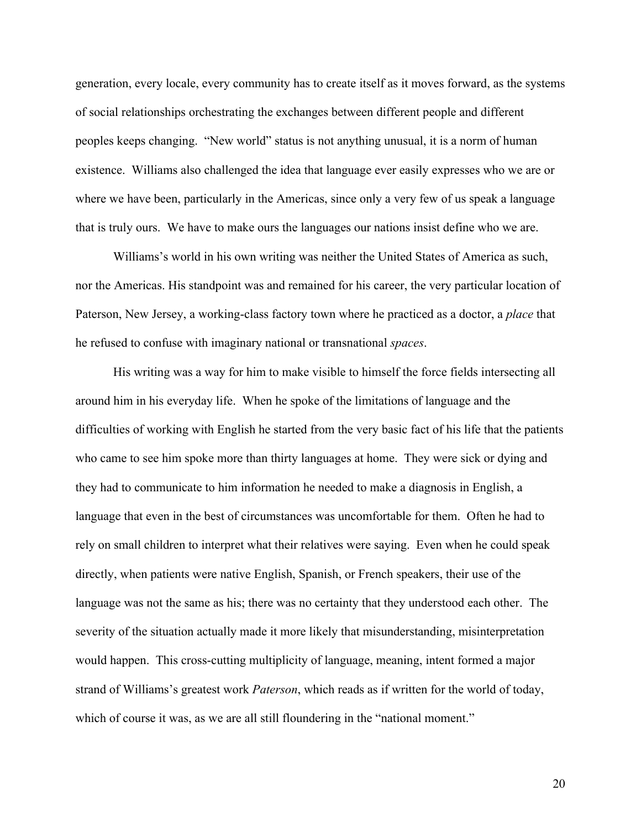generation, every locale, every community has to create itself as it moves forward, as the systems of social relationships orchestrating the exchanges between different people and different peoples keeps changing. "New world" status is not anything unusual, it is a norm of human existence. Williams also challenged the idea that language ever easily expresses who we are or where we have been, particularly in the Americas, since only a very few of us speak a language that is truly ours. We have to make ours the languages our nations insist define who we are.

Williams's world in his own writing was neither the United States of America as such, nor the Americas. His standpoint was and remained for his career, the very particular location of Paterson, New Jersey, a working-class factory town where he practiced as a doctor, a *place* that he refused to confuse with imaginary national or transnational *spaces*.

His writing was a way for him to make visible to himself the force fields intersecting all around him in his everyday life. When he spoke of the limitations of language and the difficulties of working with English he started from the very basic fact of his life that the patients who came to see him spoke more than thirty languages at home. They were sick or dying and they had to communicate to him information he needed to make a diagnosis in English, a language that even in the best of circumstances was uncomfortable for them. Often he had to rely on small children to interpret what their relatives were saying. Even when he could speak directly, when patients were native English, Spanish, or French speakers, their use of the language was not the same as his; there was no certainty that they understood each other. The severity of the situation actually made it more likely that misunderstanding, misinterpretation would happen. This cross-cutting multiplicity of language, meaning, intent formed a major strand of Williams's greatest work *Paterson*, which reads as if written for the world of today, which of course it was, as we are all still floundering in the "national moment."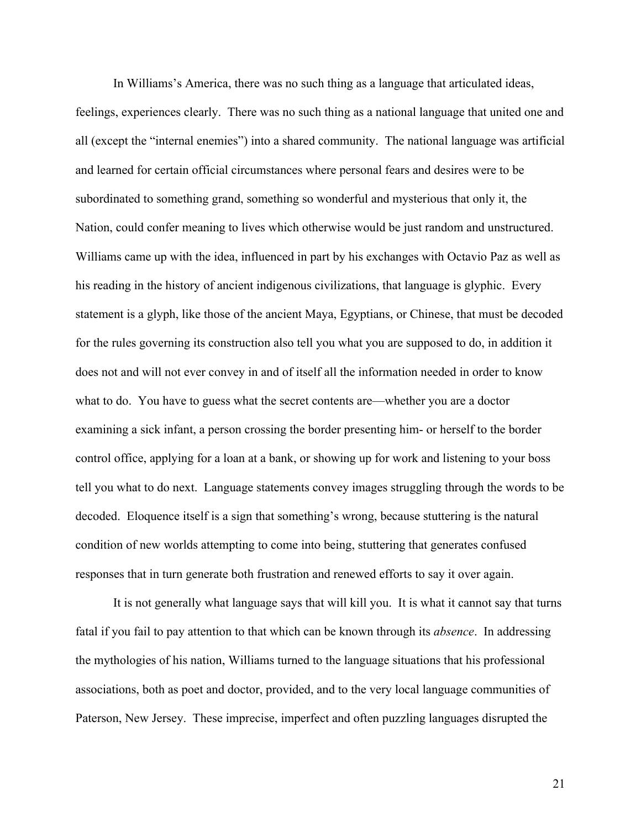In Williams's America, there was no such thing as a language that articulated ideas, feelings, experiences clearly. There was no such thing as a national language that united one and all (except the "internal enemies") into a shared community. The national language was artificial and learned for certain official circumstances where personal fears and desires were to be subordinated to something grand, something so wonderful and mysterious that only it, the Nation, could confer meaning to lives which otherwise would be just random and unstructured. Williams came up with the idea, influenced in part by his exchanges with Octavio Paz as well as his reading in the history of ancient indigenous civilizations, that language is glyphic. Every statement is a glyph, like those of the ancient Maya, Egyptians, or Chinese, that must be decoded for the rules governing its construction also tell you what you are supposed to do, in addition it does not and will not ever convey in and of itself all the information needed in order to know what to do. You have to guess what the secret contents are—whether you are a doctor examining a sick infant, a person crossing the border presenting him- or herself to the border control office, applying for a loan at a bank, or showing up for work and listening to your boss tell you what to do next. Language statements convey images struggling through the words to be decoded. Eloquence itself is a sign that something's wrong, because stuttering is the natural condition of new worlds attempting to come into being, stuttering that generates confused responses that in turn generate both frustration and renewed efforts to say it over again.

It is not generally what language says that will kill you. It is what it cannot say that turns fatal if you fail to pay attention to that which can be known through its *absence*. In addressing the mythologies of his nation, Williams turned to the language situations that his professional associations, both as poet and doctor, provided, and to the very local language communities of Paterson, New Jersey. These imprecise, imperfect and often puzzling languages disrupted the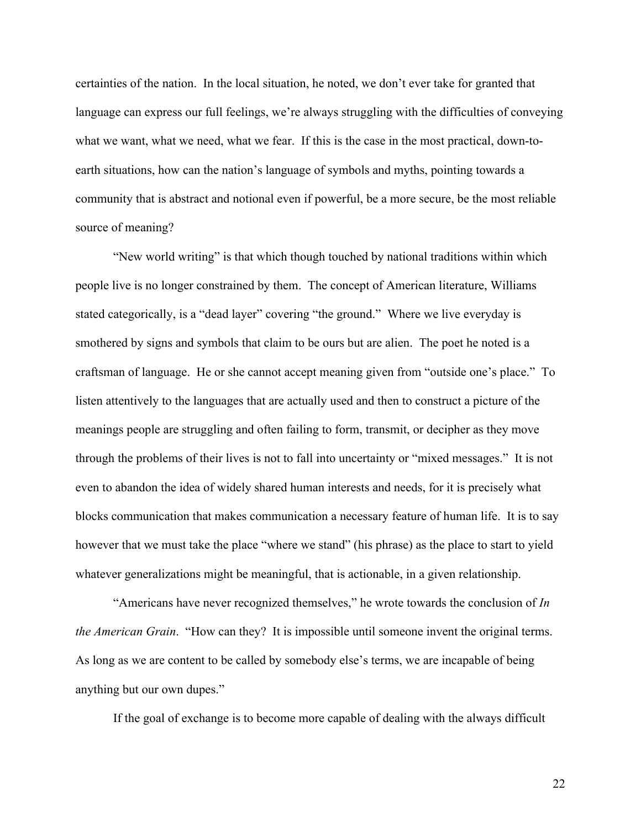certainties of the nation. In the local situation, he noted, we don't ever take for granted that language can express our full feelings, we're always struggling with the difficulties of conveying what we want, what we need, what we fear. If this is the case in the most practical, down-toearth situations, how can the nation's language of symbols and myths, pointing towards a community that is abstract and notional even if powerful, be a more secure, be the most reliable source of meaning?

"New world writing" is that which though touched by national traditions within which people live is no longer constrained by them. The concept of American literature, Williams stated categorically, is a "dead layer" covering "the ground." Where we live everyday is smothered by signs and symbols that claim to be ours but are alien. The poet he noted is a craftsman of language. He or she cannot accept meaning given from "outside one's place." To listen attentively to the languages that are actually used and then to construct a picture of the meanings people are struggling and often failing to form, transmit, or decipher as they move through the problems of their lives is not to fall into uncertainty or "mixed messages." It is not even to abandon the idea of widely shared human interests and needs, for it is precisely what blocks communication that makes communication a necessary feature of human life. It is to say however that we must take the place "where we stand" (his phrase) as the place to start to yield whatever generalizations might be meaningful, that is actionable, in a given relationship.

"Americans have never recognized themselves," he wrote towards the conclusion of *In the American Grain*. "How can they? It is impossible until someone invent the original terms. As long as we are content to be called by somebody else's terms, we are incapable of being anything but our own dupes."

If the goal of exchange is to become more capable of dealing with the always difficult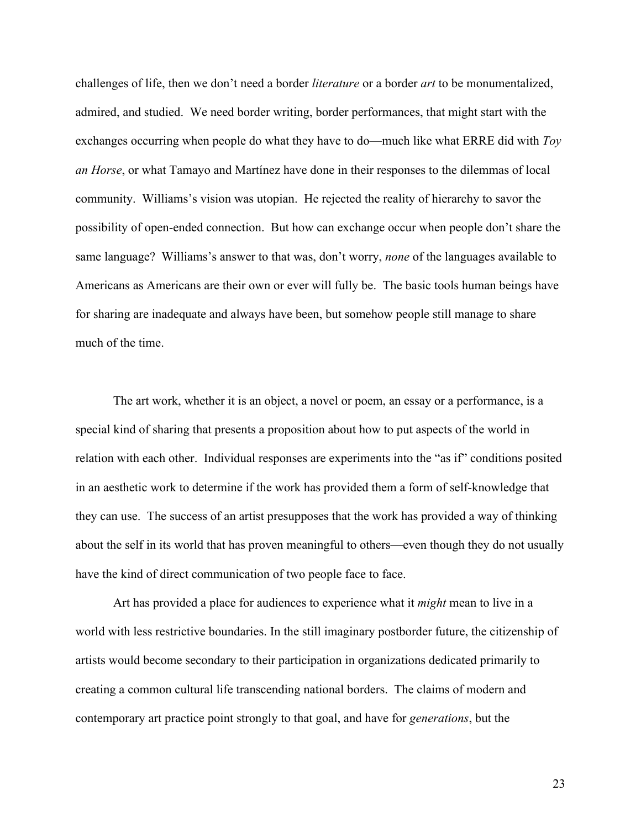challenges of life, then we don't need a border *literature* or a border *art* to be monumentalized, admired, and studied. We need border writing, border performances, that might start with the exchanges occurring when people do what they have to do—much like what ERRE did with *Toy an Horse*, or what Tamayo and Martínez have done in their responses to the dilemmas of local community. Williams's vision was utopian. He rejected the reality of hierarchy to savor the possibility of open-ended connection. But how can exchange occur when people don't share the same language? Williams's answer to that was, don't worry, *none* of the languages available to Americans as Americans are their own or ever will fully be. The basic tools human beings have for sharing are inadequate and always have been, but somehow people still manage to share much of the time.

The art work, whether it is an object, a novel or poem, an essay or a performance, is a special kind of sharing that presents a proposition about how to put aspects of the world in relation with each other. Individual responses are experiments into the "as if" conditions posited in an aesthetic work to determine if the work has provided them a form of self-knowledge that they can use. The success of an artist presupposes that the work has provided a way of thinking about the self in its world that has proven meaningful to others—even though they do not usually have the kind of direct communication of two people face to face.

Art has provided a place for audiences to experience what it *might* mean to live in a world with less restrictive boundaries. In the still imaginary postborder future, the citizenship of artists would become secondary to their participation in organizations dedicated primarily to creating a common cultural life transcending national borders. The claims of modern and contemporary art practice point strongly to that goal, and have for *generations*, but the